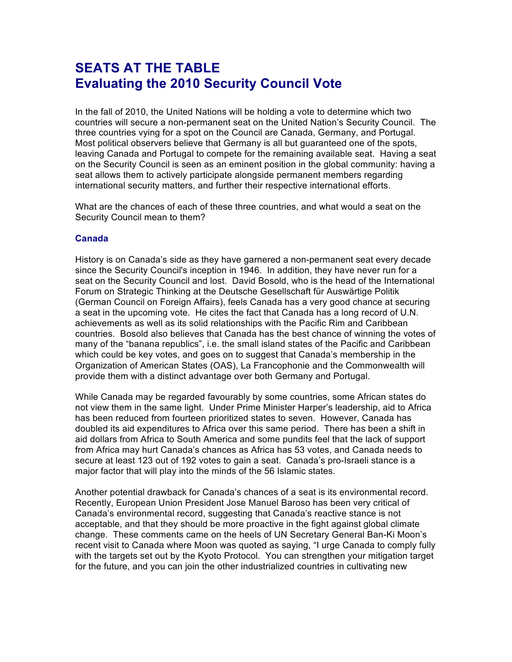# **SEATS AT THE TABLE Evaluating the 2010 Security Council Vote**

In the fall of 2010, the United Nations will be holding a vote to determine which two countries will secure a non-permanent seat on the United Nation's Security Council. The three countries vying for a spot on the Council are Canada, Germany, and Portugal. Most political observers believe that Germany is all but guaranteed one of the spots, leaving Canada and Portugal to compete for the remaining available seat. Having a seat on the Security Council is seen as an eminent position in the global community: having a seat allows them to actively participate alongside permanent members regarding international security matters, and further their respective international efforts.

What are the chances of each of these three countries, and what would a seat on the Security Council mean to them?

### **Canada**

History is on Canada's side as they have garnered a non-permanent seat every decade since the Security Council's inception in 1946. In addition, they have never run for a seat on the Security Council and lost. David Bosold, who is the head of the International Forum on Strategic Thinking at the Deutsche Gesellschaft für Auswärtige Politik (German Council on Foreign Affairs), feels Canada has a very good chance at securing a seat in the upcoming vote. He cites the fact that Canada has a long record of U.N. achievements as well as its solid relationships with the Pacific Rim and Caribbean countries. Bosold also believes that Canada has the best chance of winning the votes of many of the "banana republics", i.e. the small island states of the Pacific and Caribbean which could be key votes, and goes on to suggest that Canada's membership in the Organization of American States (OAS), La Francophonie and the Commonwealth will provide them with a distinct advantage over both Germany and Portugal.

While Canada may be regarded favourably by some countries, some African states do not view them in the same light. Under Prime Minister Harper's leadership, aid to Africa has been reduced from fourteen prioritized states to seven. However, Canada has doubled its aid expenditures to Africa over this same period. There has been a shift in aid dollars from Africa to South America and some pundits feel that the lack of support from Africa may hurt Canada's chances as Africa has 53 votes, and Canada needs to secure at least 123 out of 192 votes to gain a seat. Canada's pro-Israeli stance is a major factor that will play into the minds of the 56 Islamic states.

Another potential drawback for Canada's chances of a seat is its environmental record. Recently, European Union President Jose Manuel Baroso has been very critical of Canada's environmental record, suggesting that Canada's reactive stance is not acceptable, and that they should be more proactive in the fight against global climate change. These comments came on the heels of UN Secretary General Ban-Ki Moon's recent visit to Canada where Moon was quoted as saying, "I urge Canada to comply fully with the targets set out by the Kyoto Protocol. You can strengthen your mitigation target for the future, and you can join the other industrialized countries in cultivating new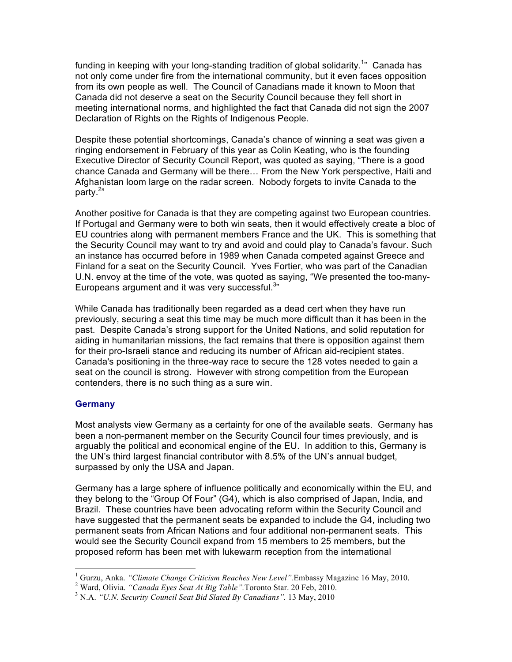funding in keeping with your long-standing tradition of global solidarity.<sup>1</sup>" Canada has not only come under fire from the international community, but it even faces opposition from its own people as well. The Council of Canadians made it known to Moon that Canada did not deserve a seat on the Security Council because they fell short in meeting international norms, and highlighted the fact that Canada did not sign the 2007 Declaration of Rights on the Rights of Indigenous People.

Despite these potential shortcomings, Canada's chance of winning a seat was given a ringing endorsement in February of this year as Colin Keating, who is the founding Executive Director of Security Council Report, was quoted as saying, "There is a good chance Canada and Germany will be there… From the New York perspective, Haiti and Afghanistan loom large on the radar screen. Nobody forgets to invite Canada to the party.<sup>2</sup>"

Another positive for Canada is that they are competing against two European countries. If Portugal and Germany were to both win seats, then it would effectively create a bloc of EU countries along with permanent members France and the UK. This is something that the Security Council may want to try and avoid and could play to Canada's favour. Such an instance has occurred before in 1989 when Canada competed against Greece and Finland for a seat on the Security Council. Yves Fortier, who was part of the Canadian U.N. envoy at the time of the vote, was quoted as saying, "We presented the too-many-Europeans argument and it was very successful. $3"$ 

While Canada has traditionally been regarded as a dead cert when they have run previously, securing a seat this time may be much more difficult than it has been in the past. Despite Canada's strong support for the United Nations, and solid reputation for aiding in humanitarian missions, the fact remains that there is opposition against them for their pro-Israeli stance and reducing its number of African aid-recipient states. Canada's positioning in the three-way race to secure the 128 votes needed to gain a seat on the council is strong. However with strong competition from the European contenders, there is no such thing as a sure win.

### **Germany**

Most analysts view Germany as a certainty for one of the available seats. Germany has been a non-permanent member on the Security Council four times previously, and is arguably the political and economical engine of the EU. In addition to this, Germany is the UN's third largest financial contributor with 8.5% of the UN's annual budget, surpassed by only the USA and Japan.

Germany has a large sphere of influence politically and economically within the EU, and they belong to the "Group Of Four" (G4), which is also comprised of Japan, India, and Brazil. These countries have been advocating reform within the Security Council and have suggested that the permanent seats be expanded to include the G4, including two permanent seats from African Nations and four additional non-permanent seats. This would see the Security Council expand from 15 members to 25 members, but the proposed reform has been met with lukewarm reception from the international

 $\frac{1}{1}$ <sup>1</sup> Gurzu, Anka. *"Climate Change Criticism Reaches New Level"*. Embassy Magazine 16 May, 2010.

<sup>&</sup>lt;sup>2</sup> Ward, Olivia. "Canada Eyes Seat At Big Table". Toronto Star. 20 Feb, 2010.

<sup>&</sup>lt;sup>3</sup> N.A. *"U.N. Security Council Seat Bid Slated By Canadians".* 13 May, 2010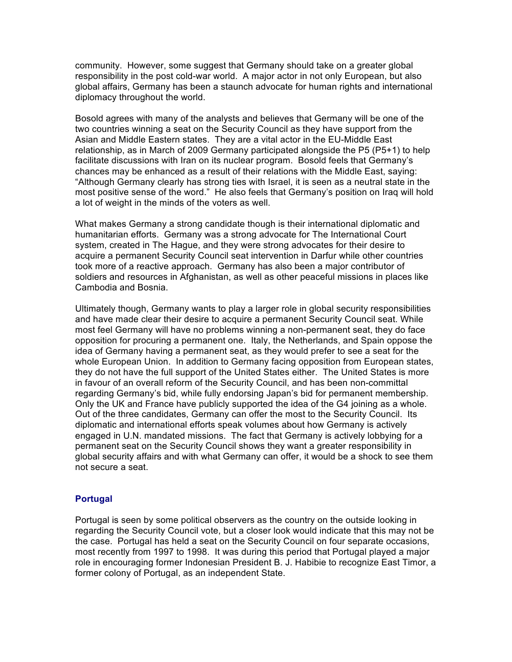community. However, some suggest that Germany should take on a greater global responsibility in the post cold-war world. A major actor in not only European, but also global affairs, Germany has been a staunch advocate for human rights and international diplomacy throughout the world.

Bosold agrees with many of the analysts and believes that Germany will be one of the two countries winning a seat on the Security Council as they have support from the Asian and Middle Eastern states. They are a vital actor in the EU-Middle East relationship, as in March of 2009 Germany participated alongside the P5 (P5+1) to help facilitate discussions with Iran on its nuclear program. Bosold feels that Germany's chances may be enhanced as a result of their relations with the Middle East, saying: "Although Germany clearly has strong ties with Israel, it is seen as a neutral state in the most positive sense of the word." He also feels that Germany's position on Iraq will hold a lot of weight in the minds of the voters as well.

What makes Germany a strong candidate though is their international diplomatic and humanitarian efforts. Germany was a strong advocate for The International Court system, created in The Hague, and they were strong advocates for their desire to acquire a permanent Security Council seat intervention in Darfur while other countries took more of a reactive approach. Germany has also been a major contributor of soldiers and resources in Afghanistan, as well as other peaceful missions in places like Cambodia and Bosnia.

Ultimately though, Germany wants to play a larger role in global security responsibilities and have made clear their desire to acquire a permanent Security Council seat. While most feel Germany will have no problems winning a non-permanent seat, they do face opposition for procuring a permanent one. Italy, the Netherlands, and Spain oppose the idea of Germany having a permanent seat, as they would prefer to see a seat for the whole European Union. In addition to Germany facing opposition from European states, they do not have the full support of the United States either. The United States is more in favour of an overall reform of the Security Council, and has been non-committal regarding Germany's bid, while fully endorsing Japan's bid for permanent membership. Only the UK and France have publicly supported the idea of the G4 joining as a whole. Out of the three candidates, Germany can offer the most to the Security Council. Its diplomatic and international efforts speak volumes about how Germany is actively engaged in U.N. mandated missions. The fact that Germany is actively lobbying for a permanent seat on the Security Council shows they want a greater responsibility in global security affairs and with what Germany can offer, it would be a shock to see them not secure a seat.

### **Portugal**

Portugal is seen by some political observers as the country on the outside looking in regarding the Security Council vote, but a closer look would indicate that this may not be the case. Portugal has held a seat on the Security Council on four separate occasions, most recently from 1997 to 1998. It was during this period that Portugal played a major role in encouraging former Indonesian President B. J. Habibie to recognize East Timor, a former colony of Portugal, as an independent State.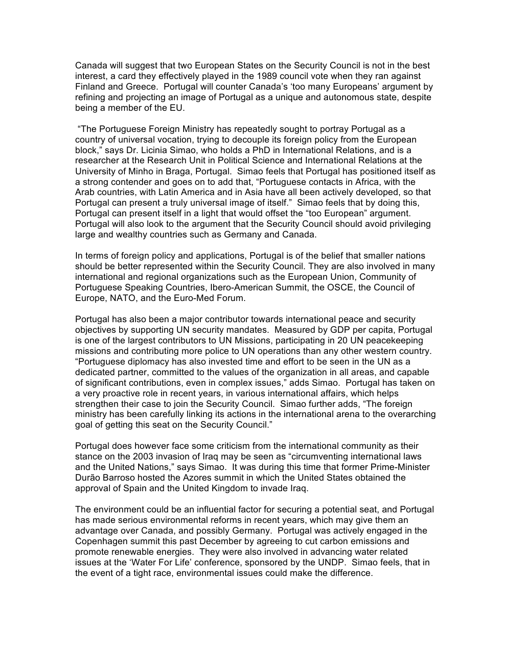Canada will suggest that two European States on the Security Council is not in the best interest, a card they effectively played in the 1989 council vote when they ran against Finland and Greece. Portugal will counter Canada's 'too many Europeans' argument by refining and projecting an image of Portugal as a unique and autonomous state, despite being a member of the EU.

 "The Portuguese Foreign Ministry has repeatedly sought to portray Portugal as a country of universal vocation, trying to decouple its foreign policy from the European block," says Dr. Licinia Simao, who holds a PhD in International Relations, and is a researcher at the Research Unit in Political Science and International Relations at the University of Minho in Braga, Portugal. Simao feels that Portugal has positioned itself as a strong contender and goes on to add that, "Portuguese contacts in Africa, with the Arab countries, with Latin America and in Asia have all been actively developed, so that Portugal can present a truly universal image of itself." Simao feels that by doing this, Portugal can present itself in a light that would offset the "too European" argument. Portugal will also look to the argument that the Security Council should avoid privileging large and wealthy countries such as Germany and Canada.

In terms of foreign policy and applications, Portugal is of the belief that smaller nations should be better represented within the Security Council. They are also involved in many international and regional organizations such as the European Union, Community of Portuguese Speaking Countries, Ibero-American Summit, the OSCE, the Council of Europe, NATO, and the Euro-Med Forum.

Portugal has also been a major contributor towards international peace and security objectives by supporting UN security mandates. Measured by GDP per capita, Portugal is one of the largest contributors to UN Missions, participating in 20 UN peacekeeping missions and contributing more police to UN operations than any other western country. "Portuguese diplomacy has also invested time and effort to be seen in the UN as a dedicated partner, committed to the values of the organization in all areas, and capable of significant contributions, even in complex issues," adds Simao. Portugal has taken on a very proactive role in recent years, in various international affairs, which helps strengthen their case to join the Security Council. Simao further adds, "The foreign ministry has been carefully linking its actions in the international arena to the overarching goal of getting this seat on the Security Council."

Portugal does however face some criticism from the international community as their stance on the 2003 invasion of Iraq may be seen as "circumventing international laws and the United Nations," says Simao. It was during this time that former Prime-Minister Durão Barroso hosted the Azores summit in which the United States obtained the approval of Spain and the United Kingdom to invade Iraq.

The environment could be an influential factor for securing a potential seat, and Portugal has made serious environmental reforms in recent years, which may give them an advantage over Canada, and possibly Germany. Portugal was actively engaged in the Copenhagen summit this past December by agreeing to cut carbon emissions and promote renewable energies. They were also involved in advancing water related issues at the 'Water For Life' conference, sponsored by the UNDP. Simao feels, that in the event of a tight race, environmental issues could make the difference.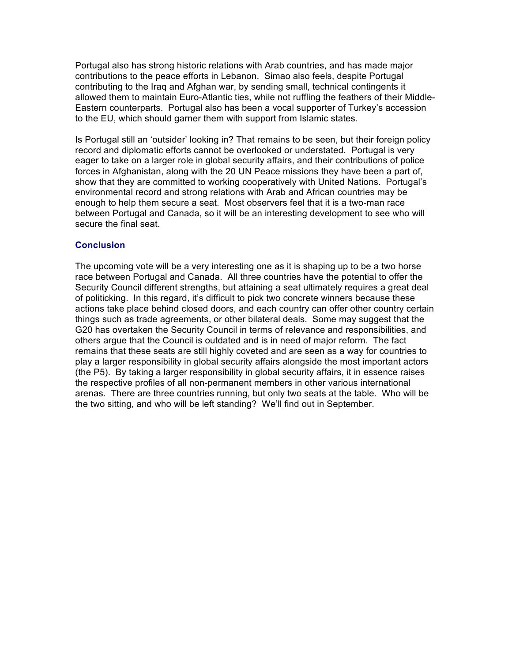Portugal also has strong historic relations with Arab countries, and has made major contributions to the peace efforts in Lebanon. Simao also feels, despite Portugal contributing to the Iraq and Afghan war, by sending small, technical contingents it allowed them to maintain Euro-Atlantic ties, while not ruffling the feathers of their Middle-Eastern counterparts. Portugal also has been a vocal supporter of Turkey's accession to the EU, which should garner them with support from Islamic states.

Is Portugal still an 'outsider' looking in? That remains to be seen, but their foreign policy record and diplomatic efforts cannot be overlooked or understated. Portugal is very eager to take on a larger role in global security affairs, and their contributions of police forces in Afghanistan, along with the 20 UN Peace missions they have been a part of, show that they are committed to working cooperatively with United Nations. Portugal's environmental record and strong relations with Arab and African countries may be enough to help them secure a seat. Most observers feel that it is a two-man race between Portugal and Canada, so it will be an interesting development to see who will secure the final seat.

### **Conclusion**

The upcoming vote will be a very interesting one as it is shaping up to be a two horse race between Portugal and Canada. All three countries have the potential to offer the Security Council different strengths, but attaining a seat ultimately requires a great deal of politicking. In this regard, it's difficult to pick two concrete winners because these actions take place behind closed doors, and each country can offer other country certain things such as trade agreements, or other bilateral deals. Some may suggest that the G20 has overtaken the Security Council in terms of relevance and responsibilities, and others argue that the Council is outdated and is in need of major reform. The fact remains that these seats are still highly coveted and are seen as a way for countries to play a larger responsibility in global security affairs alongside the most important actors (the P5). By taking a larger responsibility in global security affairs, it in essence raises the respective profiles of all non-permanent members in other various international arenas. There are three countries running, but only two seats at the table. Who will be the two sitting, and who will be left standing? We'll find out in September.